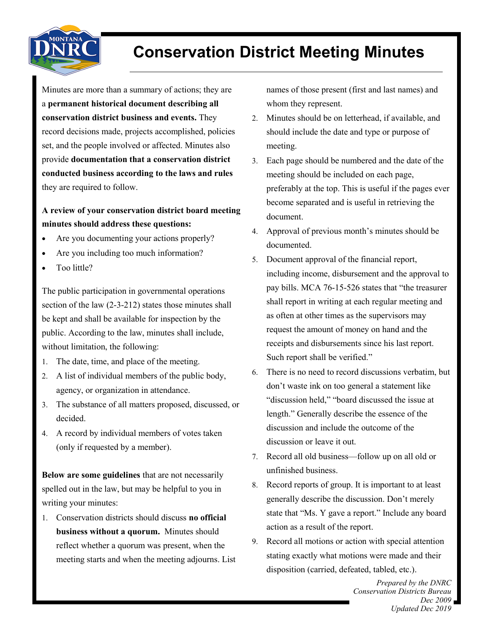

## **Conservation District Meeting Minutes**

Minutes are more than a summary of actions; they are a **permanent historical document describing all conservation district business and events.** They record decisions made, projects accomplished, policies set, and the people involved or affected. Minutes also provide **documentation that a conservation district conducted business according to the laws and rules**  they are required to follow.

## **A review of your conservation district board meeting minutes should address these questions:**

- Are you documenting your actions properly?
- Are you including too much information?
- Too little?

The public participation in governmental operations section of the law (2-3-212) states those minutes shall be kept and shall be available for inspection by the public. According to the law, minutes shall include, without limitation, the following:

- 1. The date, time, and place of the meeting.
- A list of individual members of the public body, agency, or organization in attendance.
- The substance of all matters proposed, discussed, or decided.
- A record by individual members of votes taken (only if requested by a member).

**Below are some guidelines** that are not necessarily spelled out in the law, but may be helpful to you in writing your minutes:

 Conservation districts should discuss **no official business without a quorum.** Minutes should reflect whether a quorum was present, when the meeting starts and when the meeting adjourns. List names of those present (first and last names) and whom they represent.

- Minutes should be on letterhead, if available, and should include the date and type or purpose of meeting.
- Each page should be numbered and the date of the meeting should be included on each page, preferably at the top. This is useful if the pages ever become separated and is useful in retrieving the document.
- Approval of previous month's minutes should be documented.
- Document approval of the financial report, including income, disbursement and the approval to pay bills. MCA 76-15-526 states that "the treasurer shall report in writing at each regular meeting and as often at other times as the supervisors may request the amount of money on hand and the receipts and disbursements since his last report. Such report shall be verified."
- There is no need to record discussions verbatim, but don't waste ink on too general a statement like "discussion held," "board discussed the issue at length." Generally describe the essence of the discussion and include the outcome of the discussion or leave it out.
- Record all old business—follow up on all old or unfinished business.
- 8. Record reports of group. It is important to at least generally describe the discussion. Don't merely state that "Ms. Y gave a report." Include any board action as a result of the report.
- Record all motions or action with special attention stating exactly what motions were made and their disposition (carried, defeated, tabled, etc.).

*Prepared by the DNRC Conservation Districts Bureau Dec 2009 Updated Dec 2019*